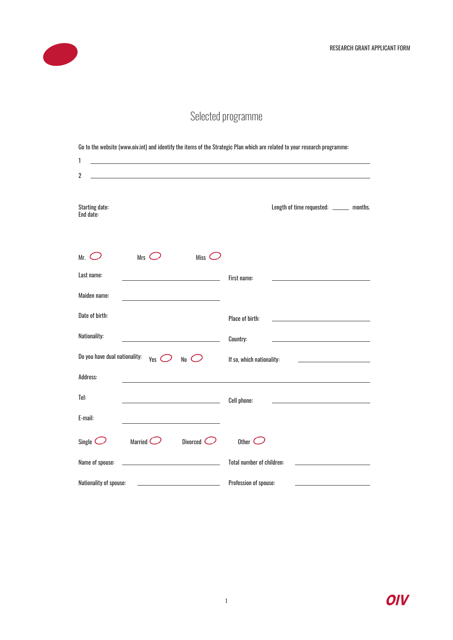

# Selected programme

Go to the website (www.oiv.int) and identify the items of the Strategic Plan which are related to your research programme:

| 1                                                                                                                                                                                                                                            |                                           |
|----------------------------------------------------------------------------------------------------------------------------------------------------------------------------------------------------------------------------------------------|-------------------------------------------|
| $\overline{2}$                                                                                                                                                                                                                               |                                           |
| <b>Starting date:</b><br>End date:                                                                                                                                                                                                           | Length of time requested: _______ months. |
| $Mrs$ $\bigcirc$<br>Mr. $\bigcirc$<br>Miss                                                                                                                                                                                                   |                                           |
| Last name:                                                                                                                                                                                                                                   | First name:                               |
| Maiden name:                                                                                                                                                                                                                                 |                                           |
| Date of birth:                                                                                                                                                                                                                               | Place of birth:                           |
| Nationality:                                                                                                                                                                                                                                 | Country:                                  |
| Do you have dual nationality:<br>Yes $\bigcirc$<br>$N_0$ $\bigcirc$                                                                                                                                                                          | If so, which nationality:                 |
| Address:                                                                                                                                                                                                                                     |                                           |
| Tel:<br><u>and the companion of the companion of the companion of the companion of the companion of the companion of the companion of the companion of the companion of the companion of the companion of the companion of the companion</u> | Cell phone:                               |
| E-mail:                                                                                                                                                                                                                                      |                                           |
| Married $\bigcirc$<br>Divorced $\bigcirc$<br>Single $\bigcirc$                                                                                                                                                                               | Other $\subset$                           |
| Name of spouse:                                                                                                                                                                                                                              | <b>Total number of children:</b>          |
| Nationality of spouse:                                                                                                                                                                                                                       | Profession of spouse:                     |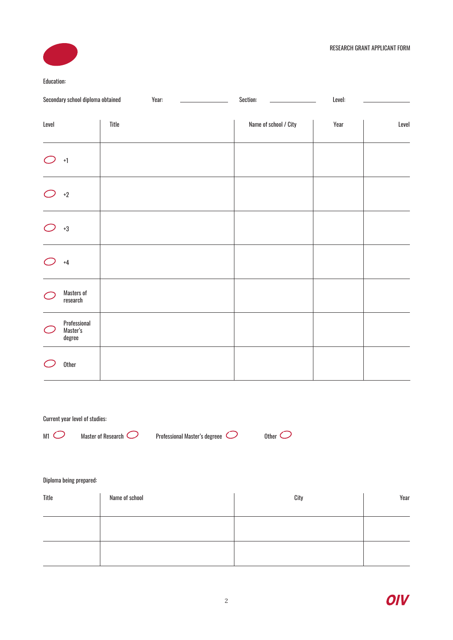

#### Education:

|              | Secondary school diploma obtained  | Year: | Section:              | Level: |       |
|--------------|------------------------------------|-------|-----------------------|--------|-------|
| Level        |                                    | Title | Name of school / City | Year   | Level |
|              | $+1$                               |       |                       |        |       |
| $\epsilon$   | $^{\mathrm {+2}}$                  |       |                       |        |       |
|              | $^{\mathrm{+3}}$                   |       |                       |        |       |
|              | $\bf +4$                           |       |                       |        |       |
| п.,          | Masters of<br>research             |       |                       |        |       |
| $\epsilon$ . | Professional<br>Master's<br>degree |       |                       |        |       |
|              | Other                              |       |                       |        |       |

### Current year level of studies:

 $M1$   $\bigcirc$ 

Master of Research  $O$  Professional Master's degreee  $O$  Other  $O$ 

## Diploma being prepared:

| Title | Name of school | City | Year |
|-------|----------------|------|------|
|       |                |      |      |
|       |                |      |      |
|       |                |      |      |
|       |                |      |      |
|       |                |      |      |
|       |                |      |      |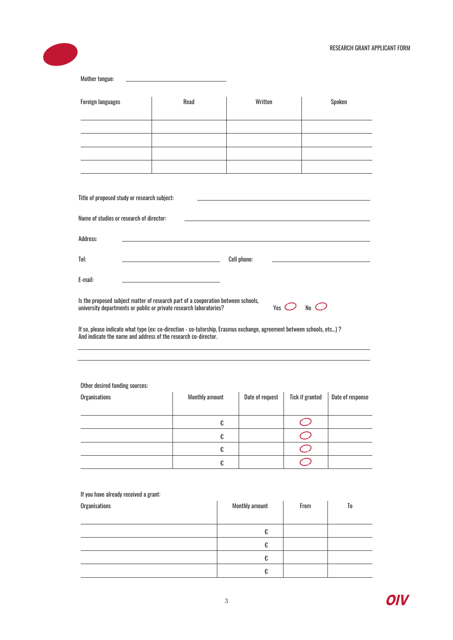| <b>Foreign languages</b>                                                                                     | Read                                                                                                                 | Written                                                                                                                                                                                                                                                                                                                                                      | Spoken                                                                                           |
|--------------------------------------------------------------------------------------------------------------|----------------------------------------------------------------------------------------------------------------------|--------------------------------------------------------------------------------------------------------------------------------------------------------------------------------------------------------------------------------------------------------------------------------------------------------------------------------------------------------------|--------------------------------------------------------------------------------------------------|
|                                                                                                              |                                                                                                                      |                                                                                                                                                                                                                                                                                                                                                              |                                                                                                  |
|                                                                                                              |                                                                                                                      |                                                                                                                                                                                                                                                                                                                                                              | the control of the control of the control of                                                     |
|                                                                                                              |                                                                                                                      | the contract of the contract of the contract of the contract of the contract of the contract of the contract of                                                                                                                                                                                                                                              |                                                                                                  |
|                                                                                                              |                                                                                                                      |                                                                                                                                                                                                                                                                                                                                                              |                                                                                                  |
| the contract of the contract of the contract of                                                              | the control of the control of the control of the control of                                                          | the contract of the contract of the contract of the contract of the contract of the contract of                                                                                                                                                                                                                                                              |                                                                                                  |
|                                                                                                              |                                                                                                                      | <u> 1989 - Johann Barbara, marka a shekara tsa 1989 - An tsa 1989 - An tsa 1989 - An tsa 1989 - An tsa 1989 - An</u><br><u>and the state of the state of the state of the state of the state of the state of the state of the state of the state of the state of the state of the state of the state of the state of the state of the state of the state</u> |                                                                                                  |
|                                                                                                              | <u> 1989 - Johann John Stone, markin sanat masjid asl nashrida asl nashrida asl nashrida asl nashrida asl nashri</u> |                                                                                                                                                                                                                                                                                                                                                              |                                                                                                  |
| Title of proposed study or research subject:<br>Name of studies or research of director:<br>Address:<br>Tel: | <u> 1990 - Johann Barbara, martin amerikan personal (</u>                                                            | <b>Cell phone:</b>                                                                                                                                                                                                                                                                                                                                           | <u>experience</u> and the control of the control of the control of the control of the control of |
| E-mail:                                                                                                      | <u> 1999 - Johann Barn, fransk politik amerikansk politik (</u>                                                      |                                                                                                                                                                                                                                                                                                                                                              |                                                                                                  |

And indicate the name and address of the research co-director.

### Other desired funding sources:

| Organisations | Monthly amount | Date of request | <b>Tick if granted</b> | Date of response |
|---------------|----------------|-----------------|------------------------|------------------|
|               |                |                 |                        |                  |
|               | €              |                 |                        |                  |
|               | €              |                 |                        |                  |
|               | €              |                 |                        |                  |
|               | ŧ,             |                 |                        |                  |

## If you have already received a grant:

| Organisations | Monthly amount | From | To |
|---------------|----------------|------|----|
|               |                |      |    |
|               | ₽              |      |    |
|               | n              |      |    |
|               | n              |      |    |
|               |                |      |    |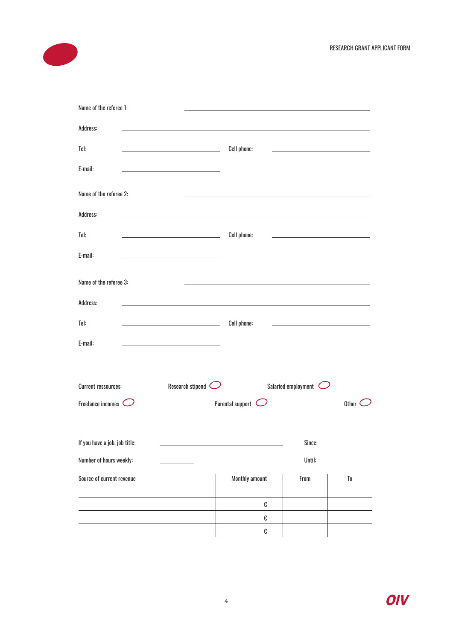

| Name of the referee 1:        |                                                                                                                     |                             |                                                                                           |                                                                                                                       |                 |
|-------------------------------|---------------------------------------------------------------------------------------------------------------------|-----------------------------|-------------------------------------------------------------------------------------------|-----------------------------------------------------------------------------------------------------------------------|-----------------|
| Address:                      |                                                                                                                     |                             |                                                                                           |                                                                                                                       |                 |
| Tel:                          | <u> 1989 - Johann Barn, mars ann an t-Amhair ann an t-Amhair an t-Amhair ann an t-Amhair an t-Amhair ann an t-A</u> |                             | Cell phone:                                                                               | <u> 1989 - Johann Barbara, martxa al III-lea (h. 1974).</u>                                                           |                 |
| E-mail:                       |                                                                                                                     |                             |                                                                                           |                                                                                                                       |                 |
| Name of the referee 2:        |                                                                                                                     |                             | the control of the control of the control of the control of the control of the control of |                                                                                                                       |                 |
| Address:                      |                                                                                                                     |                             |                                                                                           |                                                                                                                       |                 |
| Tel:                          | <u> 1989 - Johann Barbara, martxa alemaniar a</u>                                                                   |                             | Cell phone:                                                                               | <u> 1999 - John Harry Harry Harry Harry Harry Harry Harry Harry Harry Harry Harry Harry Harry Harry Harry Harry H</u> |                 |
| E-mail:                       | the control of the control of the control of the control of the control of                                          |                             |                                                                                           |                                                                                                                       |                 |
| Name of the referee 3:        |                                                                                                                     |                             |                                                                                           |                                                                                                                       |                 |
| Address:                      |                                                                                                                     |                             |                                                                                           |                                                                                                                       |                 |
| Tel:                          | <u> 1980 - Johann Barn, fransk politik (d. 1980)</u>                                                                |                             | Cell phone:                                                                               | the control of the control of the control of the control of                                                           |                 |
| E-mail:                       | the control of the control of the control of the control of the control of                                          |                             |                                                                                           |                                                                                                                       |                 |
| <b>Current ressources:</b>    |                                                                                                                     | Research stipend $\bigcirc$ |                                                                                           | Salaried employment <a></a>                                                                                           |                 |
| Freelance incomes             |                                                                                                                     |                             | Parental support $\circ$                                                                  |                                                                                                                       | Other $\subset$ |
| If you have a job, job title: |                                                                                                                     |                             |                                                                                           | Since:                                                                                                                |                 |
| Number of hours weekly:       |                                                                                                                     |                             |                                                                                           | Until:                                                                                                                |                 |
| Source of current revenue     |                                                                                                                     |                             | Monthly amount                                                                            | From                                                                                                                  | To              |
|                               |                                                                                                                     |                             | €                                                                                         |                                                                                                                       |                 |
|                               |                                                                                                                     |                             | €                                                                                         |                                                                                                                       |                 |
|                               |                                                                                                                     |                             | €                                                                                         |                                                                                                                       |                 |